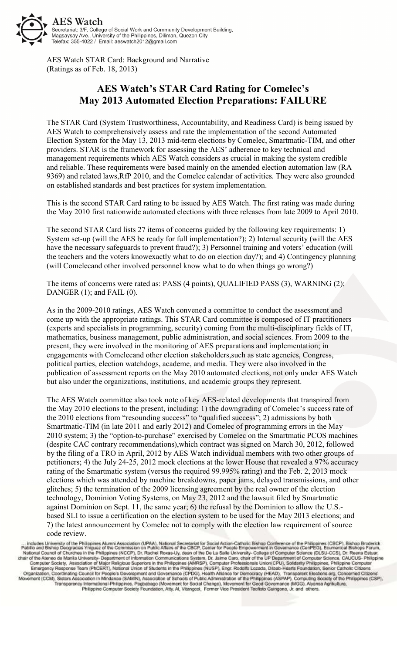

AES Watch STAR Card: Background and Narrative (Ratings as of Feb. 18, 2013)

# **AES Watch's STAR Card Rating for Comelec's May 2013 Automated Election Preparations: FAILURE**

The STAR Card (System Trustworthiness, Accountability, and Readiness Card) is being issued by AES Watch to comprehensively assess and rate the implementation of the second Automated Election System for the May 13, 2013 mid-term elections by Comelec, Smartmatic-TIM, and other providers. STAR is the framework for assessing the AES' adherence to key technical and management requirements which AES Watch considers as crucial in making the system credible and reliable. These requirements were based mainly on the amended election automation law (RA 9369) and related laws,RfP 2010, and the Comelec calendar of activities. They were also grounded on established standards and best practices for system implementation.

This is the second STAR Card rating to be issued by AES Watch. The first rating was made during the May 2010 first nationwide automated elections with three releases from late 2009 to April 2010.

The second STAR Card lists 27 items of concerns guided by the following key requirements: 1) System set-up (will the AES be ready for full implementation?); 2) Internal security (will the AES have the necessary safeguards to prevent fraud?); 3) Personnel training and voters' education (will the teachers and the voters knowexactly what to do on election day?); and 4) Contingency planning (will Comelecand other involved personnel know what to do when things go wrong?)

The items of concerns were rated as: PASS (4 points), QUALIFIED PASS (3), WARNING (2); DANGER (1); and FAIL (0).

As in the 2009-2010 ratings, AES Watch convened a committee to conduct the assessment and come up with the appropriate ratings. This STAR Card committee is composed of IT practitioners (experts and specialists in programming, security) coming from the multi-disciplinary fields of IT, mathematics, business management, public administration, and social sciences. From 2009 to the present, they were involved in the monitoring of AES preparations and implementation; in engagements with Comelecand other election stakeholders,such as state agencies, Congress, political parties, election watchdogs, academe, and media. They were also involved in the publication of assessment reports on the May 2010 automated elections, not only under AES Watch but also under the organizations, institutions, and academic groups they represent.

The AES Watch committee also took note of key AES-related developments that transpired from the May 2010 elections to the present, including: 1) the downgrading of Comelec's success rate of the 2010 elections from "resounding success" to "qualified success"; 2) admissions by both Smartmatic-TIM (in late 2011 and early 2012) and Comelec of programming errors in the May 2010 system; 3) the "option-to-purchase" exercised by Comelec on the Smartmatic PCOS machines (despite CAC contrary recommendations),which contract was signed on March 30, 2012, followed by the filing of a TRO in April, 2012 by AES Watch individual members with two other groups of petitioners; 4) the July 24-25, 2012 mock elections at the lower House that revealed a 97% accuracy rating of the Smartmatic system (versus the required 99.995% rating) and the Feb. 2, 2013 mock elections which was attended by machine breakdowns, paper jams, delayed transmissions, and other glitches; 5) the termination of the 2009 licensing agreement by the real owner of the election technology, Dominion Voting Systems, on May 23, 2012 and the lawsuit filed by Smartmatic against Dominion on Sept. 11, the same year; 6) the refusal by the Dominion to allow the U.S. based SLI to issue a certification on the election system to be used for the May 2013 elections; and 7) the latest announcement by Comelec not to comply with the election law requirement of source code review.

... Includes University of the Philippines Alumni Association (UPAA), National Secretariat for Social Action-Catholic Bishop Conference of the Philippines (CBCP), Bishop Broderick<br>Pablio and Bishop Deogracias Ynguaz of the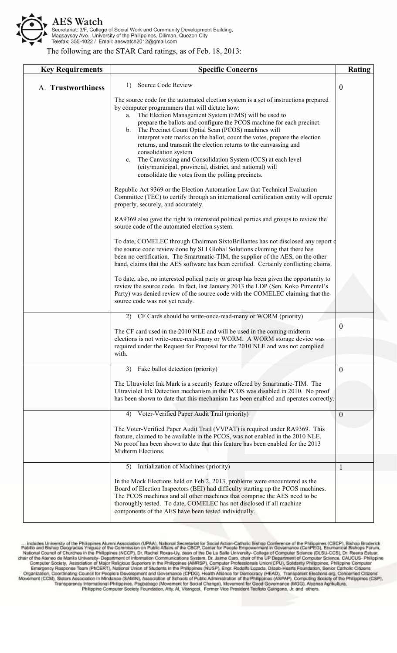

AES Watch<br>Secretariat: 3/F, College of Social Work and Community Development Building,<br>Magsaysay Ave., University of the Philippines, Diliman, Quezon City<br>Telefax: 355-4022 / Email: aeswatch2012@gmail.com

The following are the STAR Card ratings, as of Feb. 18, 2013:

| <b>Key Requirements</b> | <b>Specific Concerns</b>                                                                                                                                                                                                                                                                                                                                                                                                                                                                                                                                                                                                                                                                                                                                                                                                                                                              | Rating           |
|-------------------------|---------------------------------------------------------------------------------------------------------------------------------------------------------------------------------------------------------------------------------------------------------------------------------------------------------------------------------------------------------------------------------------------------------------------------------------------------------------------------------------------------------------------------------------------------------------------------------------------------------------------------------------------------------------------------------------------------------------------------------------------------------------------------------------------------------------------------------------------------------------------------------------|------------------|
| A. Trustworthiness      | Source Code Review<br>1)                                                                                                                                                                                                                                                                                                                                                                                                                                                                                                                                                                                                                                                                                                                                                                                                                                                              | $\boldsymbol{0}$ |
|                         | The source code for the automated election system is a set of instructions prepared<br>by computer programmers that will dictate how:<br>The Election Management System (EMS) will be used to<br>a.<br>prepare the ballots and configure the PCOS machine for each precinct.<br>The Precinct Count Optial Scan (PCOS) machines will<br>$b_{-}$<br>interpret vote marks on the ballot, count the votes, prepare the election<br>returns, and transmit the election returns to the canvassing and<br>consolidation system<br>The Canvassing and Consolidation System (CCS) at each level<br>c.<br>(city/municipal, provincial, district, and national) will<br>consolidate the votes from the polling precincts.<br>Republic Act 9369 or the Election Automation Law that Technical Evaluation<br>Committee (TEC) to certify through an international certification entity will operate |                  |
|                         | properly, securely, and accurately.<br>RA9369 also gave the right to interested political parties and groups to review the                                                                                                                                                                                                                                                                                                                                                                                                                                                                                                                                                                                                                                                                                                                                                            |                  |
|                         | source code of the automated election system.<br>To date, COMELEC through Chairman SixtoBrillantes has not disclosed any report of<br>the source code review done by SLI Global Solutions claiming that there has<br>been no certification. The Smartmatic-TIM, the supplier of the AES, on the other<br>hand, claims that the AES software has been certified. Certainly conflicting claims.                                                                                                                                                                                                                                                                                                                                                                                                                                                                                         |                  |
|                         | To date, also, no interested polical party or group has been given the opportunity to<br>review the source code. In fact, last January 2013 the LDP (Sen. Koko Pimentel's<br>Party) was denied review of the source code with the COMELEC claiming that the<br>source code was not yet ready.                                                                                                                                                                                                                                                                                                                                                                                                                                                                                                                                                                                         |                  |
|                         | 2) CF Cards should be write-once-read-many or WORM (priority)<br>The CF card used in the 2010 NLE and will be used in the coming midterm<br>elections is not write-once-read-many or WORM. A WORM storage device was<br>required under the Request for Proposal for the 2010 NLE and was not complied<br>with.                                                                                                                                                                                                                                                                                                                                                                                                                                                                                                                                                                        | $\overline{0}$   |
|                         | Fake ballot detection (priority)<br>3)                                                                                                                                                                                                                                                                                                                                                                                                                                                                                                                                                                                                                                                                                                                                                                                                                                                | $\theta$         |
|                         | The Ultraviolet Ink Mark is a security feature offered by Smartmatic-TIM. The<br>Ultraviolet Ink Detection mechanism in the PCOS was disabled in 2010. No proof<br>has been shown to date that this mechanism has been enabled and operates correctly.                                                                                                                                                                                                                                                                                                                                                                                                                                                                                                                                                                                                                                |                  |
|                         | Voter-Verified Paper Audit Trail (priority)<br>4)                                                                                                                                                                                                                                                                                                                                                                                                                                                                                                                                                                                                                                                                                                                                                                                                                                     | $\theta$         |
|                         | The Voter-Verified Paper Audit Trail (VVPAT) is required under RA9369. This<br>feature, claimed to be available in the PCOS, was not enabled in the 2010 NLE.<br>No proof has been shown to date that this feature has been enabled for the 2013<br>Midterm Elections.                                                                                                                                                                                                                                                                                                                                                                                                                                                                                                                                                                                                                |                  |
|                         | Initialization of Machines (priority)<br>5)<br>In the Mock Elections held on Feb.2, 2013, problems were encountered as the<br>Board of Election Inspectors (BEI) had difficulty starting up the PCOS machines.<br>The PCOS machines and all other machines that comprise the AES need to be<br>thoroughly tested. To date, COMELEC has not disclosed if all machine<br>components of the AES have been tested individually.                                                                                                                                                                                                                                                                                                                                                                                                                                                           |                  |

... Includes University of the Philippines Alumni Association (UPAA), National Secretarist for Social Action-Catholic Bishop Conference of the Philippines (GBCP), Bishop Broderick<br>Pablic and Bishop Deogracias Ynguaz of the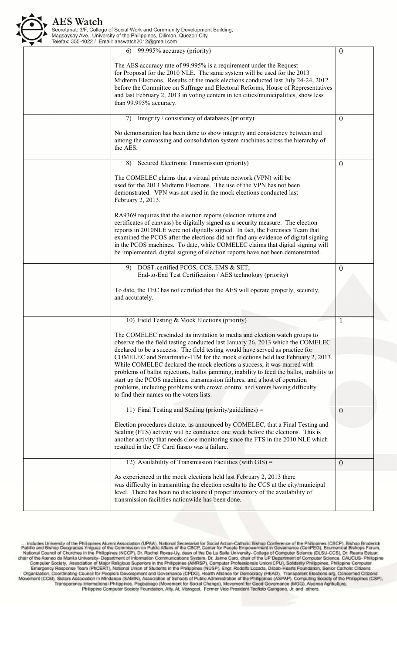

AES Watch<br>Secretariat: 3/F, College of Social Work and Community Development Building,<br>Magsaysay Ave., University of the Philippines, Diliman, Quezon City<br>Telefax: 355-4022 / Email: aeswatch2012@gmail.com

| 99.995% accuracy (priority)<br>6)                                                                                                                                       | $\boldsymbol{0}$ |
|-------------------------------------------------------------------------------------------------------------------------------------------------------------------------|------------------|
| The AES accuracy rate of 99.995% is a requirement under the Request                                                                                                     |                  |
| for Proposal for the 2010 NLE. The same system will be used for the 2013                                                                                                |                  |
| Midterm Elections. Results of the mock elections conducted last July 24-24, 2012                                                                                        |                  |
| before the Committee on Suffrage and Electoral Reforms, House of Representatives<br>and last February 2, 2013 in voting centers in ten cities/municipalities, show less |                  |
| than 99.995% accuracy.                                                                                                                                                  |                  |
|                                                                                                                                                                         |                  |
| Integrity / consistency of databases (priority)<br>7)                                                                                                                   | $\overline{0}$   |
| No demonstration has been done to show integrity and consistency between and<br>among the canvassing and consolidation system machines across the hierarchy of          |                  |
| the AES.                                                                                                                                                                |                  |
| Secured Electronic Transmission (priority)<br>8)                                                                                                                        | $\mathbf{0}$     |
| The COMELEC claims that a virtual private network (VPN) will be                                                                                                         |                  |
| used for the 2013 Midterm Elections. The use of the VPN has not been<br>demonstrated. VPN was not used in the mock elections conducted last                             |                  |
| February 2, 2013.                                                                                                                                                       |                  |
| RA9369 requires that the election reports (election returns and                                                                                                         |                  |
| certificates of canvass) be digitally signed as a security measure. The election                                                                                        |                  |
| reports in 2010NLE were not digitally signed. In fact, the Forensics Team that<br>examined the PCOS after the elections did not find any evidence of digital signing    |                  |
| in the PCOS machines. To date, while COMELEC claims that digital signing will                                                                                           |                  |
| be implemented, digital signing of election reports have not been demonstrated.                                                                                         |                  |
| DOST-certified PCOS, CCS, EMS & SET;<br>9)                                                                                                                              | $\mathbf{0}$     |
| End-to-End Test Certification / AES technology (priority)                                                                                                               |                  |
| To date, the TEC has not certified that the AES will operate properly, securely,<br>and accurately.                                                                     |                  |
|                                                                                                                                                                         |                  |
| 10) Field Testing & Mock Elections (priority)                                                                                                                           |                  |
| The COMELEC rescinded its invitation to media and election watch groups to                                                                                              |                  |
| observe the the field testing conducted last January 26, 2013 which the COMELEC                                                                                         |                  |
| declared to be a success. The field testing would have served as practice for<br>COMELEC and Smartmatic-TIM for the mock elections held last February 2, 2013.          |                  |
| While COMELEC declared the mock elections a success, it was marred with                                                                                                 |                  |
| problems of ballot rejections, ballot jamming, inability to feed the ballot, inability to                                                                               |                  |
| start up the PCOS machines, transmission failures, and a host of operation<br>problems, including problems with crowd control and voters having difficulty              |                  |
| to find their names on the voters lists.                                                                                                                                |                  |
| 11) Final Testing and Sealing (priority/guidelines) =                                                                                                                   | $\overline{0}$   |
| Election procedures dictate, as announced by COMELEC, that a Final Testing and                                                                                          |                  |
| Sealing (FTS) activity will be conducted one week before the elections. This is                                                                                         |                  |
| another activity that needs close monitoring since the FTS in the 2010 NLE which                                                                                        |                  |
| resulted in the CF Card fiasco was a failure.                                                                                                                           |                  |
| 12) Availability of Transmission Facilities (with GIS) =                                                                                                                | $\mathbf{0}$     |
| As experienced in the mock elections held last February 2, 2013 there                                                                                                   |                  |
| was difficulty in transmitting the election results to the CCS at the city/municipal                                                                                    |                  |
| level. There has been no disclosure if proper inventory of the availability of<br>transmission facilities nationwide has been done.                                     |                  |
|                                                                                                                                                                         |                  |

... Includes University of the Philippines Alumni Association (UPAA), National Secretarist for Social Action-Catholic Bishop Conference of the Philippines (GBCP), Bishop Broderick<br>Pablic and Bishop Deogracias Ynguaz of the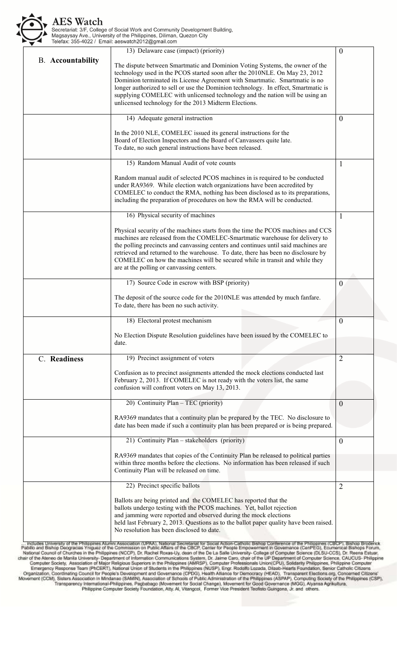

|                          | 13) Delaware case (impact) (priority)                                                                                                                                                                                                                                                                                                                                                                                                                                     | $\theta$       |
|--------------------------|---------------------------------------------------------------------------------------------------------------------------------------------------------------------------------------------------------------------------------------------------------------------------------------------------------------------------------------------------------------------------------------------------------------------------------------------------------------------------|----------------|
| <b>B.</b> Accountability | The dispute between Smartmatic and Dominion Voting Systems, the owner of the<br>technology used in the PCOS started soon after the 2010NLE. On May 23, 2012<br>Dominion terminated its License Agreement with Smartmatic. Smartmatic is no<br>longer authorized to sell or use the Dominion technology. In effect, Smartmatic is<br>supplying COMELEC with unlicensed technology and the nation will be using an<br>unlicensed technology for the 2013 Midterm Elections. |                |
|                          | 14) Adequate general instruction                                                                                                                                                                                                                                                                                                                                                                                                                                          | $\theta$       |
|                          | In the 2010 NLE, COMELEC issued its general instructions for the<br>Board of Election Inspectors and the Board of Canvassers quite late.<br>To date, no such general instructions have been released.                                                                                                                                                                                                                                                                     |                |
|                          | 15) Random Manual Audit of vote counts                                                                                                                                                                                                                                                                                                                                                                                                                                    | 1              |
|                          | Random manual audit of selected PCOS machines in is required to be conducted<br>under RA9369. While election watch organizations have been accredited by<br>COMELEC to conduct the RMA, nothing has been disclosed as to its preparations,<br>including the preparation of procedures on how the RMA will be conducted.                                                                                                                                                   |                |
|                          | 16) Physical security of machines                                                                                                                                                                                                                                                                                                                                                                                                                                         | 1              |
|                          | Physical security of the machines starts from the time the PCOS machines and CCS<br>machines are released from the COMELEC-Smartmatic warehouse for delivery to<br>the polling precincts and canvassing centers and continues until said machines are<br>retrieved and returned to the warehouse. To date, there has been no disclosure by<br>COMELEC on how the machines will be secured while in transit and while they<br>are at the polling or canvassing centers.    |                |
|                          | 17) Source Code in escrow with BSP (priority)                                                                                                                                                                                                                                                                                                                                                                                                                             | $\overline{0}$ |
|                          | The deposit of the source code for the 2010NLE was attended by much fanfare.<br>To date, there has been no such activity.                                                                                                                                                                                                                                                                                                                                                 |                |
|                          | 18) Electoral protest mechanism                                                                                                                                                                                                                                                                                                                                                                                                                                           | $\theta$       |
|                          | No Election Dispute Resolution guidelines have been issued by the COMELEC to<br>date.                                                                                                                                                                                                                                                                                                                                                                                     |                |
| C. Readiness             | 19) Precinct assignment of voters                                                                                                                                                                                                                                                                                                                                                                                                                                         | $\overline{2}$ |
|                          | Confusion as to precinct assignments attended the mock elections conducted last<br>February 2, 2013. If COMELEC is not ready with the voters list, the same<br>confusion will confront voters on May 13, 2013.                                                                                                                                                                                                                                                            |                |
|                          | 20) Continuity Plan - TEC (priority)                                                                                                                                                                                                                                                                                                                                                                                                                                      | $\theta$       |
|                          | RA9369 mandates that a continuity plan be prepared by the TEC. No disclosure to<br>date has been made if such a continuity plan has been prepared or is being prepared.                                                                                                                                                                                                                                                                                                   |                |
|                          | 21) Continuity Plan - stakeholders (priority)                                                                                                                                                                                                                                                                                                                                                                                                                             | $\overline{0}$ |
|                          | RA9369 mandates that copies of the Continuity Plan be released to political parties<br>within three months before the elections. No information has been released if such<br>Continuity Plan will be released on time.                                                                                                                                                                                                                                                    |                |
|                          | 22) Precinct specific ballots                                                                                                                                                                                                                                                                                                                                                                                                                                             | $\overline{2}$ |
|                          | Ballots are being printed and the COMELEC has reported that the<br>ballots undergo testing with the PCOS machines. Yet, ballot rejection<br>and jamming were reported and observed during the mock elections<br>held last February 2, 2013. Questions as to the ballot paper quality have been raised.<br>No resolution has been disclosed to date.                                                                                                                       |                |

... includes University of the Philippines Alumn Association (UPAA), National Secretarial for Social Action-Catholic Bishop Conference of the Philippines (CBCP), Bishop Broderick<br>Pablio and Bishop Deogracias Yniguaz of the